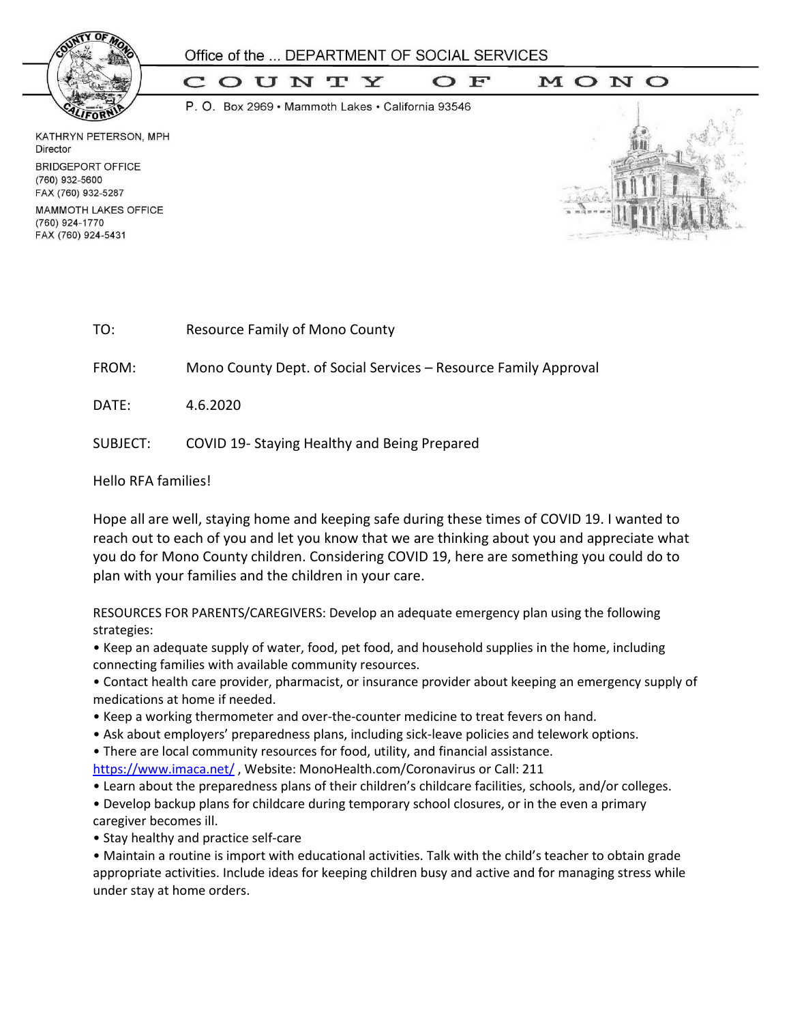

 $\mathbf{F}$ 

COUNTY  $\mathbf C$ 

P. O. Box 2969 · Mammoth Lakes · California 93546

KATHRYN PETERSON, MPH Director **BRIDGEPORT OFFICE** (760) 932-5600 FAX (760) 932-5287

**MAMMOTH LAKES OFFICE** (760) 924-1770 FAX (760) 924-5431



| TO: | <b>Resource Family of Mono County</b> |
|-----|---------------------------------------|
|     |                                       |

FROM: Mono County Dept. of Social Services – Resource Family Approval

DATE: 4.6.2020

SUBJECT: COVID 19- Staying Healthy and Being Prepared

Hello RFA families!

Hope all are well, staying home and keeping safe during these times of COVID 19. I wanted to reach out to each of you and let you know that we are thinking about you and appreciate what you do for Mono County children. Considering COVID 19, here are something you could do to plan with your families and the children in your care.

RESOURCES FOR PARENTS/CAREGIVERS: Develop an adequate emergency plan using the following strategies:

• Keep an adequate supply of water, food, pet food, and household supplies in the home, including connecting families with available community resources.

• Contact health care provider, pharmacist, or insurance provider about keeping an emergency supply of medications at home if needed.

- Keep a working thermometer and over-the-counter medicine to treat fevers on hand.
- Ask about employers' preparedness plans, including sick‐leave policies and telework options.

• There are local community resources for food, utility, and financial assistance.

<https://www.imaca.net/>, Website: MonoHealth.com/Coronavirus or Call: 211

• Learn about the preparedness plans of their children's childcare facilities, schools, and/or colleges.

• Develop backup plans for childcare during temporary school closures, or in the even a primary caregiver becomes ill.

• Stay healthy and practice self-care

• Maintain a routine is import with educational activities. Talk with the child's teacher to obtain grade appropriate activities. Include ideas for keeping children busy and active and for managing stress while under stay at home orders.